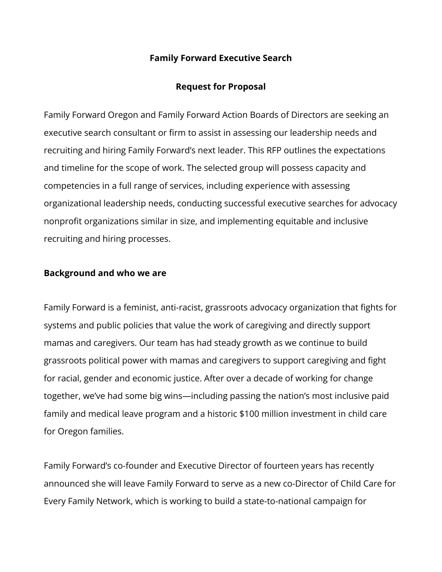## **Family Forward Executive Search**

## **Request for Proposal**

Family Forward Oregon and Family Forward Action Boards of Directors are seeking an executive search consultant or firm to assist in assessing our leadership needs and recruiting and hiring Family Forward's next leader. This RFP outlines the expectations and timeline for the scope of work. The selected group will possess capacity and competencies in a full range of services, including experience with assessing organizational leadership needs, conducting successful executive searches for advocacy nonprofit organizations similar in size, and implementing equitable and inclusive recruiting and hiring processes.

#### **Background and who we are**

Family Forward is a feminist, anti-racist, grassroots advocacy organization that fights for systems and public policies that value the work of caregiving and directly support mamas and caregivers. Our team has had steady growth as we continue to build grassroots political power with mamas and caregivers to support caregiving and fight for racial, gender and economic justice. After over a decade of working for change together, we've had some big wins—including passing the nation's most inclusive paid family and medical leave program and a historic \$100 million investment in child care for Oregon families.

Family Forward's co-founder and Executive Director of fourteen years has recently announced she will leave Family Forward to serve as a new co-Director of Child Care for Every Family Network, which is working to build a state-to-national campaign for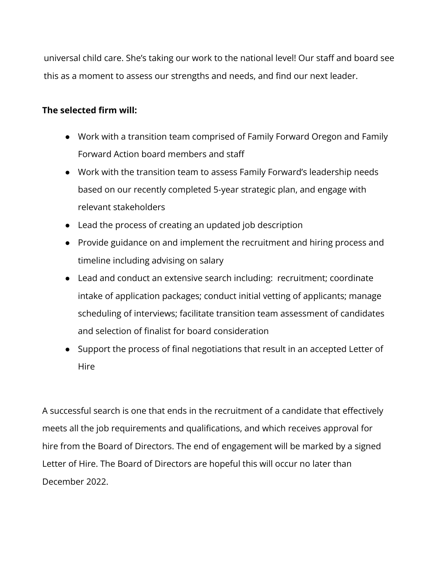universal child care. She's taking our work to the national level! Our staff and board see this as a moment to assess our strengths and needs, and find our next leader.

# **The selected firm will:**

- Work with a transition team comprised of Family Forward Oregon and Family Forward Action board members and staff
- Work with the transition team to assess Family Forward's leadership needs based on our recently completed 5-year strategic plan, and engage with relevant stakeholders
- Lead the process of creating an updated job description
- Provide guidance on and implement the recruitment and hiring process and timeline including advising on salary
- Lead and conduct an extensive search including: recruitment; coordinate intake of application packages; conduct initial vetting of applicants; manage scheduling of interviews; facilitate transition team assessment of candidates and selection of finalist for board consideration
- Support the process of final negotiations that result in an accepted Letter of **Hire**

A successful search is one that ends in the recruitment of a candidate that effectively meets all the job requirements and qualifications, and which receives approval for hire from the Board of Directors. The end of engagement will be marked by a signed Letter of Hire. The Board of Directors are hopeful this will occur no later than December 2022.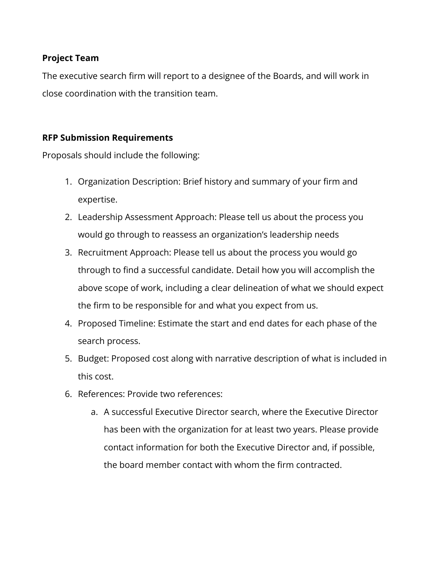## **Project Team**

The executive search firm will report to a designee of the Boards, and will work in close coordination with the transition team.

# **RFP Submission Requirements**

Proposals should include the following:

- 1. Organization Description: Brief history and summary of your firm and expertise.
- 2. Leadership Assessment Approach: Please tell us about the process you would go through to reassess an organization's leadership needs
- 3. Recruitment Approach: Please tell us about the process you would go through to find a successful candidate. Detail how you will accomplish the above scope of work, including a clear delineation of what we should expect the firm to be responsible for and what you expect from us.
- 4. Proposed Timeline: Estimate the start and end dates for each phase of the search process.
- 5. Budget: Proposed cost along with narrative description of what is included in this cost.
- 6. References: Provide two references:
	- a. A successful Executive Director search, where the Executive Director has been with the organization for at least two years. Please provide contact information for both the Executive Director and, if possible, the board member contact with whom the firm contracted.